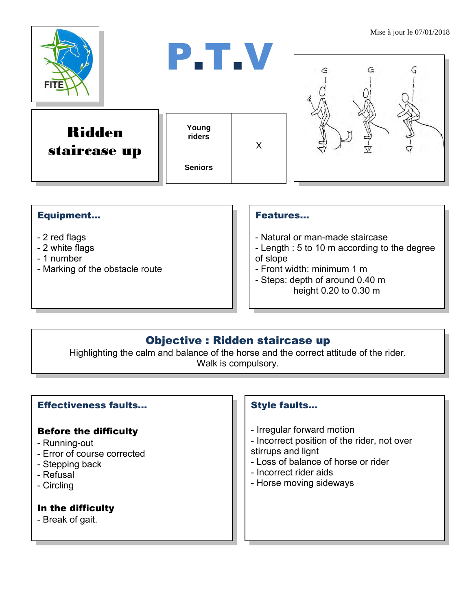

#### Equipment...

- 2 red flags
- 2 white flags
- 1 number
- Marking of the obstacle route

#### Features…

- Natural or man-made staircase
- Length : 5 to 10 m according to the degree of slope
- Front width: minimum 1 m
- Steps: depth of around 0.40 m height 0.20 to 0.30 m

## Objective : Ridden staircase up

Highlighting the calm and balance of the horse and the correct attitude of the rider. Walk is compulsory.

#### Effectiveness faults…

#### Before the difficulty

- Running-out
- Error of course corrected
- Stepping back
- Refusal
- Circling

### In the difficulty

- Break of gait.

#### Style faults…

- Irregular forward motion
- Incorrect position of the rider, not over stirrups and lignt
- Loss of balance of horse or rider
- Incorrect rider aids
- Horse moving sideways